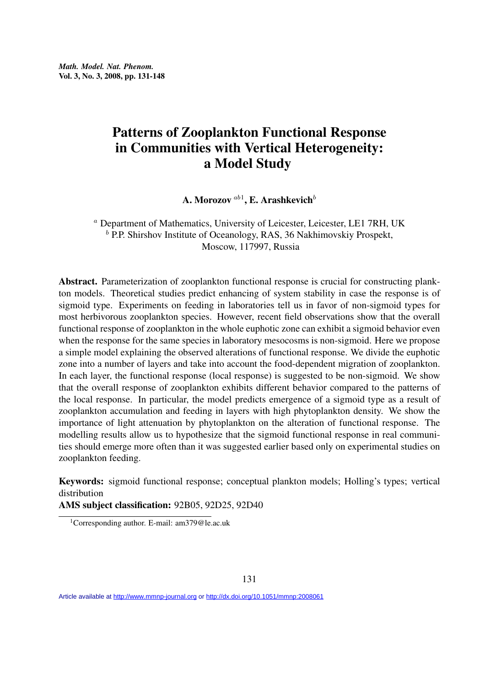# Patterns of Zooplankton Functional Response in Communities with Vertical Heterogeneity: a Model Study

A. Morozov  $^{ab1}$ , E. Arashkevich $^b$ 

<sup>a</sup> Department of Mathematics, University of Leicester, Leicester, LE1 7RH, UK  $<sup>b</sup>$  P.P. Shirshov Institute of Oceanology, RAS, 36 Nakhimovskiy Prospekt,</sup> Moscow, 117997, Russia

Abstract. Parameterization of zooplankton functional response is crucial for constructing plankton models. Theoretical studies predict enhancing of system stability in case the response is of sigmoid type. Experiments on feeding in laboratories tell us in favor of non-sigmoid types for most herbivorous zooplankton species. However, recent field observations show that the overall functional response of zooplankton in the whole euphotic zone can exhibit a sigmoid behavior even when the response for the same species in laboratory mesocosms is non-sigmoid. Here we propose a simple model explaining the observed alterations of functional response. We divide the euphotic zone into a number of layers and take into account the food-dependent migration of zooplankton. In each layer, the functional response (local response) is suggested to be non-sigmoid. We show that the overall response of zooplankton exhibits different behavior compared to the patterns of the local response. In particular, the model predicts emergence of a sigmoid type as a result of zooplankton accumulation and feeding in layers with high phytoplankton density. We show the importance of light attenuation by phytoplankton on the alteration of functional response. The modelling results allow us to hypothesize that the sigmoid functional response in real communities should emerge more often than it was suggested earlier based only on experimental studies on zooplankton feeding.

Keywords: sigmoid functional response; conceptual plankton models; Holling's types; vertical distribution

AMS subject classification: 92B05, 92D25, 92D40

Article available at<http://www.mmnp-journal.org> or <http://dx.doi.org/10.1051/mmnp:2008061>

<sup>1</sup>Corresponding author. E-mail: am379@le.ac.uk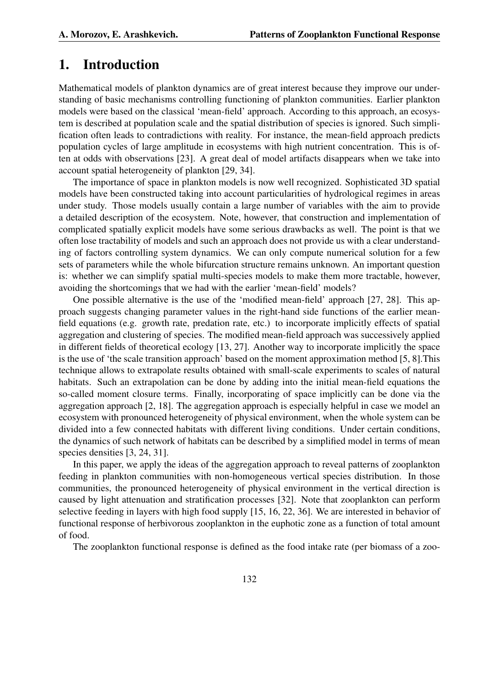## 1. Introduction

Mathematical models of plankton dynamics are of great interest because they improve our understanding of basic mechanisms controlling functioning of plankton communities. Earlier plankton models were based on the classical 'mean-field' approach. According to this approach, an ecosystem is described at population scale and the spatial distribution of species is ignored. Such simplification often leads to contradictions with reality. For instance, the mean-field approach predicts population cycles of large amplitude in ecosystems with high nutrient concentration. This is often at odds with observations [23]. A great deal of model artifacts disappears when we take into account spatial heterogeneity of plankton [29, 34].

The importance of space in plankton models is now well recognized. Sophisticated 3D spatial models have been constructed taking into account particularities of hydrological regimes in areas under study. Those models usually contain a large number of variables with the aim to provide a detailed description of the ecosystem. Note, however, that construction and implementation of complicated spatially explicit models have some serious drawbacks as well. The point is that we often lose tractability of models and such an approach does not provide us with a clear understanding of factors controlling system dynamics. We can only compute numerical solution for a few sets of parameters while the whole bifurcation structure remains unknown. An important question is: whether we can simplify spatial multi-species models to make them more tractable, however, avoiding the shortcomings that we had with the earlier 'mean-field' models?

One possible alternative is the use of the 'modified mean-field' approach [27, 28]. This approach suggests changing parameter values in the right-hand side functions of the earlier meanfield equations (e.g. growth rate, predation rate, etc.) to incorporate implicitly effects of spatial aggregation and clustering of species. The modified mean-field approach was successively applied in different fields of theoretical ecology [13, 27]. Another way to incorporate implicitly the space is the use of 'the scale transition approach' based on the moment approximation method [5, 8].This technique allows to extrapolate results obtained with small-scale experiments to scales of natural habitats. Such an extrapolation can be done by adding into the initial mean-field equations the so-called moment closure terms. Finally, incorporating of space implicitly can be done via the aggregation approach [2, 18]. The aggregation approach is especially helpful in case we model an ecosystem with pronounced heterogeneity of physical environment, when the whole system can be divided into a few connected habitats with different living conditions. Under certain conditions, the dynamics of such network of habitats can be described by a simplified model in terms of mean species densities [3, 24, 31].

In this paper, we apply the ideas of the aggregation approach to reveal patterns of zooplankton feeding in plankton communities with non-homogeneous vertical species distribution. In those communities, the pronounced heterogeneity of physical environment in the vertical direction is caused by light attenuation and stratification processes [32]. Note that zooplankton can perform selective feeding in layers with high food supply [15, 16, 22, 36]. We are interested in behavior of functional response of herbivorous zooplankton in the euphotic zone as a function of total amount of food.

The zooplankton functional response is defined as the food intake rate (per biomass of a zoo-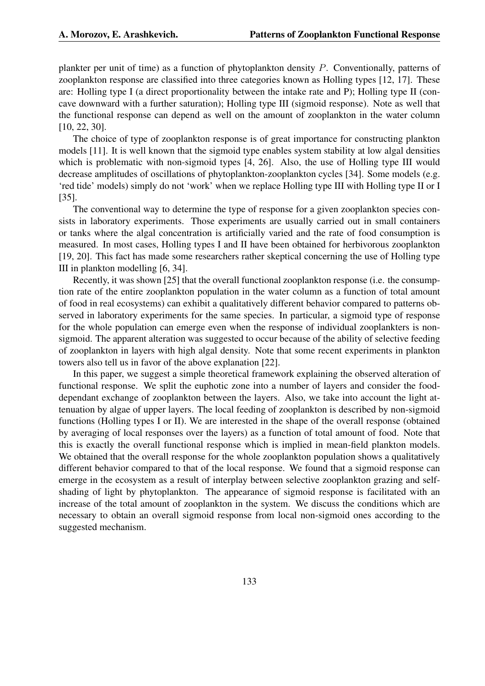plankter per unit of time) as a function of phytoplankton density P. Conventionally, patterns of zooplankton response are classified into three categories known as Holling types [12, 17]. These are: Holling type I (a direct proportionality between the intake rate and P); Holling type II (concave downward with a further saturation); Holling type III (sigmoid response). Note as well that the functional response can depend as well on the amount of zooplankton in the water column [10, 22, 30].

The choice of type of zooplankton response is of great importance for constructing plankton models [11]. It is well known that the sigmoid type enables system stability at low algal densities which is problematic with non-sigmoid types [4, 26]. Also, the use of Holling type III would decrease amplitudes of oscillations of phytoplankton-zooplankton cycles [34]. Some models (e.g. 'red tide' models) simply do not 'work' when we replace Holling type III with Holling type II or I [35].

The conventional way to determine the type of response for a given zooplankton species consists in laboratory experiments. Those experiments are usually carried out in small containers or tanks where the algal concentration is artificially varied and the rate of food consumption is measured. In most cases, Holling types I and II have been obtained for herbivorous zooplankton [19, 20]. This fact has made some researchers rather skeptical concerning the use of Holling type III in plankton modelling [6, 34].

Recently, it was shown [25] that the overall functional zooplankton response (i.e. the consumption rate of the entire zooplankton population in the water column as a function of total amount of food in real ecosystems) can exhibit a qualitatively different behavior compared to patterns observed in laboratory experiments for the same species. In particular, a sigmoid type of response for the whole population can emerge even when the response of individual zooplankters is nonsigmoid. The apparent alteration was suggested to occur because of the ability of selective feeding of zooplankton in layers with high algal density. Note that some recent experiments in plankton towers also tell us in favor of the above explanation [22].

In this paper, we suggest a simple theoretical framework explaining the observed alteration of functional response. We split the euphotic zone into a number of layers and consider the fooddependant exchange of zooplankton between the layers. Also, we take into account the light attenuation by algae of upper layers. The local feeding of zooplankton is described by non-sigmoid functions (Holling types I or II). We are interested in the shape of the overall response (obtained by averaging of local responses over the layers) as a function of total amount of food. Note that this is exactly the overall functional response which is implied in mean-field plankton models. We obtained that the overall response for the whole zooplankton population shows a qualitatively different behavior compared to that of the local response. We found that a sigmoid response can emerge in the ecosystem as a result of interplay between selective zooplankton grazing and selfshading of light by phytoplankton. The appearance of sigmoid response is facilitated with an increase of the total amount of zooplankton in the system. We discuss the conditions which are necessary to obtain an overall sigmoid response from local non-sigmoid ones according to the suggested mechanism.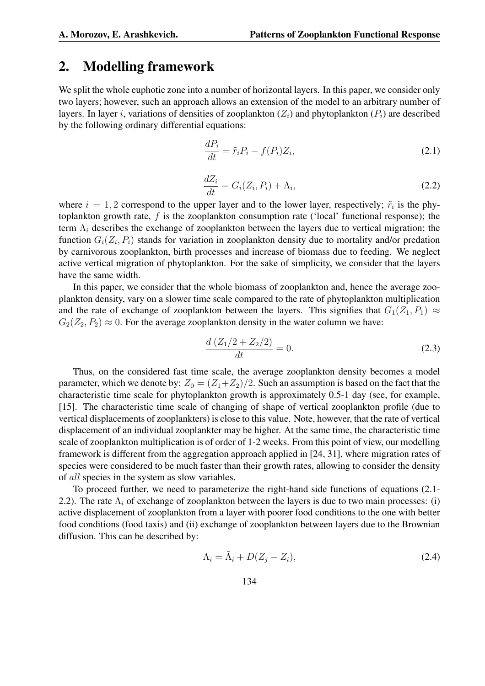#### 2. Modelling framework

We split the whole euphotic zone into a number of horizontal layers. In this paper, we consider only two layers; however, such an approach allows an extension of the model to an arbitrary number of layers. In layer i, variations of densities of zooplankton  $(Z_i)$  and phytoplankton  $(P_i)$  are described by the following ordinary differential equations:

$$
\frac{dP_i}{dt} = \tilde{r}_i P_i - f(P_i) Z_i,\tag{2.1}
$$

$$
\frac{dZ_i}{dt} = G_i(Z_i, P_i) + \Lambda_i,\tag{2.2}
$$

where  $i = 1, 2$  correspond to the upper layer and to the lower layer, respectively;  $\tilde{r}_i$  is the phytoplankton growth rate, f is the zooplankton consumption rate ('local' functional response); the term  $\Lambda_i$  describes the exchange of zooplankton between the layers due to vertical migration; the function  $G_i(Z_i, P_i)$  stands for variation in zooplankton density due to mortality and/or predation by carnivorous zooplankton, birth processes and increase of biomass due to feeding. We neglect active vertical migration of phytoplankton. For the sake of simplicity, we consider that the layers have the same width.

In this paper, we consider that the whole biomass of zooplankton and, hence the average zooplankton density, vary on a slower time scale compared to the rate of phytoplankton multiplication and the rate of exchange of zooplankton between the layers. This signifies that  $G_1(Z_1, P_1) \approx$  $G_2(Z_2, P_2) \approx 0$ . For the average zooplankton density in the water column we have:

$$
\frac{d\left(Z_1/2 + Z_2/2\right)}{dt} = 0.\tag{2.3}
$$

Thus, on the considered fast time scale, the average zooplankton density becomes a model parameter, which we denote by:  $Z_0 = (Z_1 + Z_2)/2$ . Such an assumption is based on the fact that the characteristic time scale for phytoplankton growth is approximately 0.5-1 day (see, for example, [15]. The characteristic time scale of changing of shape of vertical zooplankton profile (due to vertical displacements of zooplankters) is close to this value. Note, however, that the rate of vertical displacement of an individual zooplankter may be higher. At the same time, the characteristic time scale of zooplankton multiplication is of order of 1-2 weeks. From this point of view, our modelling framework is different from the aggregation approach applied in [24, 31], where migration rates of species were considered to be much faster than their growth rates, allowing to consider the density of all species in the system as slow variables.

To proceed further, we need to parameterize the right-hand side functions of equations (2.1- 2.2). The rate  $\Lambda_i$  of exchange of zooplankton between the layers is due to two main processes: (i) active displacement of zooplankton from a layer with poorer food conditions to the one with better food conditions (food taxis) and (ii) exchange of zooplankton between layers due to the Brownian diffusion. This can be described by:

$$
\Lambda_i = \tilde{\Lambda}_i + D(Z_j - Z_i),\tag{2.4}
$$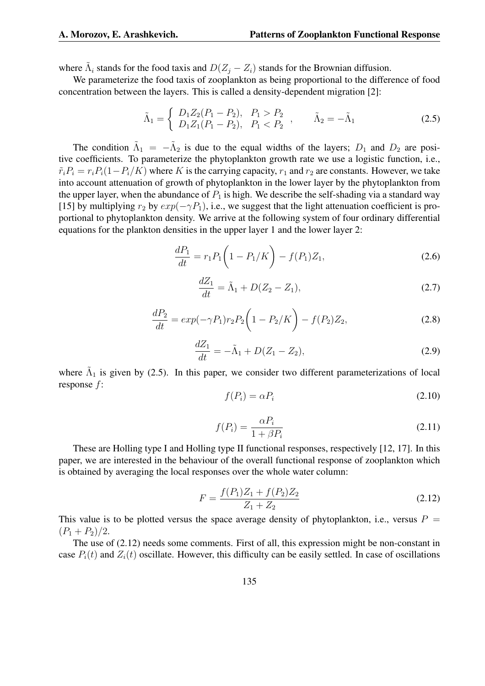where  $\tilde{\Lambda}_i$  stands for the food taxis and  $D(Z_j - Z_i)$  stands for the Brownian diffusion.

We parameterize the food taxis of zooplankton as being proportional to the difference of food concentration between the layers. This is called a density-dependent migration [2]:

$$
\tilde{\Lambda}_1 = \begin{cases}\nD_1 Z_2 (P_1 - P_2), & P_1 > P_2 \\
D_1 Z_1 (P_1 - P_2), & P_1 < P_2\n\end{cases}, \qquad \tilde{\Lambda}_2 = -\tilde{\Lambda}_1
$$
\n(2.5)

The condition  $\tilde{\Lambda}_1 = -\tilde{\Lambda}_2$  is due to the equal widths of the layers;  $D_1$  and  $D_2$  are positive coefficients. To parameterize the phytoplankton growth rate we use a logistic function, i.e.,  $\tilde{r}_i P_i = r_i P_i (1 - P_i/K)$  where K is the carrying capacity,  $r_1$  and  $r_2$  are constants. However, we take into account attenuation of growth of phytoplankton in the lower layer by the phytoplankton from the upper layer, when the abundance of  $P_1$  is high. We describe the self-shading via a standard way [15] by multiplying  $r_2$  by  $exp(-\gamma P_1)$ , i.e., we suggest that the light attenuation coefficient is proportional to phytoplankton density. We arrive at the following system of four ordinary differential equations for the plankton densities in the upper layer 1 and the lower layer 2:

$$
\frac{dP_1}{dt} = r_1 P_1 \left( 1 - P_1 / K \right) - f(P_1) Z_1,\tag{2.6}
$$

$$
\frac{dZ_1}{dt} = \tilde{\Lambda}_1 + D(Z_2 - Z_1),\tag{2.7}
$$

$$
\frac{dP_2}{dt} = exp(-\gamma P_1)r_2P_2\left(1 - P_2/K\right) - f(P_2)Z_2,\tag{2.8}
$$

$$
\frac{dZ_1}{dt} = -\tilde{\Lambda}_1 + D(Z_1 - Z_2),\tag{2.9}
$$

where  $\tilde{\Lambda}_1$  is given by (2.5). In this paper, we consider two different parameterizations of local response f:

$$
f(P_i) = \alpha P_i \tag{2.10}
$$

$$
f(P_i) = \frac{\alpha P_i}{1 + \beta P_i} \tag{2.11}
$$

These are Holling type I and Holling type II functional responses, respectively [12, 17]. In this paper, we are interested in the behaviour of the overall functional response of zooplankton which is obtained by averaging the local responses over the whole water column:

$$
F = \frac{f(P_1)Z_1 + f(P_2)Z_2}{Z_1 + Z_2} \tag{2.12}
$$

This value is to be plotted versus the space average density of phytoplankton, i.e., versus  $P =$  $(P_1 + P_2)/2$ .

The use of (2.12) needs some comments. First of all, this expression might be non-constant in case  $P_i(t)$  and  $Z_i(t)$  oscillate. However, this difficulty can be easily settled. In case of oscillations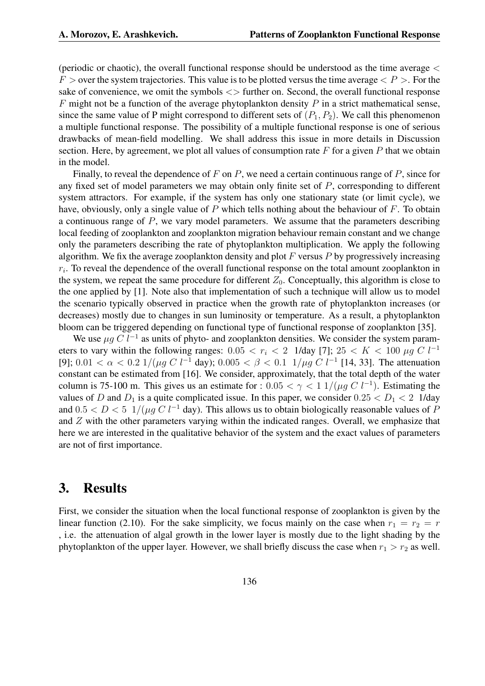(periodic or chaotic), the overall functional response should be understood as the time average  $\lt$  $F >$  over the system trajectories. This value is to be plotted versus the time average  $\langle P \rangle$ . For the sake of convenience, we omit the symbols  $\langle \rangle$  further on. Second, the overall functional response  $F$  might not be a function of the average phytoplankton density  $P$  in a strict mathematical sense, since the same value of P might correspond to different sets of  $(P_1, P_2)$ . We call this phenomenon a multiple functional response. The possibility of a multiple functional response is one of serious drawbacks of mean-field modelling. We shall address this issue in more details in Discussion section. Here, by agreement, we plot all values of consumption rate  $F$  for a given  $P$  that we obtain in the model.

Finally, to reveal the dependence of F on P, we need a certain continuous range of P, since for any fixed set of model parameters we may obtain only finite set of  $P$ , corresponding to different system attractors. For example, if the system has only one stationary state (or limit cycle), we have, obviously, only a single value of  $P$  which tells nothing about the behaviour of  $F$ . To obtain a continuous range of P, we vary model parameters. We assume that the parameters describing local feeding of zooplankton and zooplankton migration behaviour remain constant and we change only the parameters describing the rate of phytoplankton multiplication. We apply the following algorithm. We fix the average zooplankton density and plot  $F$  versus  $P$  by progressively increasing  $r_i$ . To reveal the dependence of the overall functional response on the total amount zooplankton in the system, we repeat the same procedure for different  $Z_0$ . Conceptually, this algorithm is close to the one applied by [1]. Note also that implementation of such a technique will allow us to model the scenario typically observed in practice when the growth rate of phytoplankton increases (or decreases) mostly due to changes in sun luminosity or temperature. As a result, a phytoplankton bloom can be triggered depending on functional type of functional response of zooplankton [35].

We use  $\mu g C l^{-1}$  as units of phyto- and zooplankton densities. We consider the system parameters to vary within the following ranges:  $0.05 < r_i < 2$  1/day [7];  $25 < K < 100 \mu g C l^{-1}$ [9]; 0.01 <  $\alpha$  < 0.2 1/( $\mu$ g C l<sup>-1</sup> day); 0.005 <  $\beta$  < 0.1 1/ $\mu$ g C l<sup>-1</sup> [14, 33]. The attenuation constant can be estimated from [16]. We consider, approximately, that the total depth of the water column is 75-100 m. This gives us an estimate for :  $0.05 < \gamma < 1$  1/( $\mu$ g C l<sup>-1</sup>). Estimating the values of D and  $D_1$  is a quite complicated issue. In this paper, we consider  $0.25 < D_1 < 2$  1/day and  $0.5 < D < 5$  1/( $\mu$ g C l<sup>-1</sup> day). This allows us to obtain biologically reasonable values of P and  $Z$  with the other parameters varying within the indicated ranges. Overall, we emphasize that here we are interested in the qualitative behavior of the system and the exact values of parameters are not of first importance.

### 3. Results

First, we consider the situation when the local functional response of zooplankton is given by the linear function (2.10). For the sake simplicity, we focus mainly on the case when  $r_1 = r_2 = r$ , i.e. the attenuation of algal growth in the lower layer is mostly due to the light shading by the phytoplankton of the upper layer. However, we shall briefly discuss the case when  $r_1 > r_2$  as well.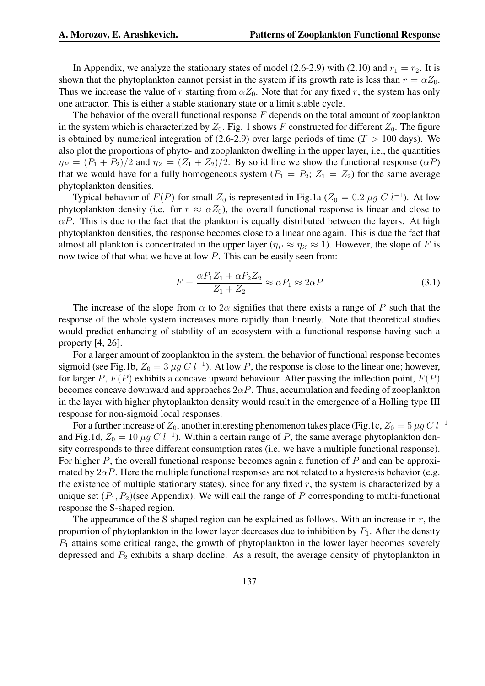In Appendix, we analyze the stationary states of model (2.6-2.9) with (2.10) and  $r_1 = r_2$ . It is shown that the phytoplankton cannot persist in the system if its growth rate is less than  $r = \alpha Z_0$ . Thus we increase the value of r starting from  $\alpha Z_0$ . Note that for any fixed r, the system has only one attractor. This is either a stable stationary state or a limit stable cycle.

The behavior of the overall functional response  $F$  depends on the total amount of zooplankton in the system which is characterized by  $Z_0$ . Fig. 1 shows F constructed for different  $Z_0$ . The figure is obtained by numerical integration of (2.6-2.9) over large periods of time ( $T > 100$  days). We also plot the proportions of phyto- and zooplankton dwelling in the upper layer, i.e., the quantities  $\eta_P = (P_1 + P_2)/2$  and  $\eta_Z = (Z_1 + Z_2)/2$ . By solid line we show the functional response  $(\alpha P)$ that we would have for a fully homogeneous system  $(P_1 = P_2; Z_1 = Z_2)$  for the same average phytoplankton densities.

Typical behavior of  $F(P)$  for small  $Z_0$  is represented in Fig.1a ( $Z_0 = 0.2 \mu g C l^{-1}$ ). At low phytoplankton density (i.e. for  $r \approx \alpha Z_0$ ), the overall functional response is linear and close to  $\alpha P$ . This is due to the fact that the plankton is equally distributed between the layers. At high phytoplankton densities, the response becomes close to a linear one again. This is due the fact that almost all plankton is concentrated in the upper layer ( $\eta_P \approx \eta_Z \approx 1$ ). However, the slope of F is now twice of that what we have at low P. This can be easily seen from:

$$
F = \frac{\alpha P_1 Z_1 + \alpha P_2 Z_2}{Z_1 + Z_2} \approx \alpha P_1 \approx 2\alpha P \tag{3.1}
$$

The increase of the slope from  $\alpha$  to  $2\alpha$  signifies that there exists a range of P such that the response of the whole system increases more rapidly than linearly. Note that theoretical studies would predict enhancing of stability of an ecosystem with a functional response having such a property [4, 26].

For a larger amount of zooplankton in the system, the behavior of functional response becomes sigmoid (see Fig.1b,  $Z_0 = 3 \mu g C l^{-1}$ ). At low P, the response is close to the linear one; however, for larger P,  $F(P)$  exhibits a concave upward behaviour. After passing the inflection point,  $F(P)$ becomes concave downward and approaches  $2\alpha P$ . Thus, accumulation and feeding of zooplankton in the layer with higher phytoplankton density would result in the emergence of a Holling type III response for non-sigmoid local responses.

For a further increase of  $Z_0$ , another interesting phenomenon takes place (Fig.1c,  $Z_0 = 5 \mu g C l^{-1}$ and Fig.1d,  $Z_0 = 10 \mu g C l^{-1}$ ). Within a certain range of P, the same average phytoplankton density corresponds to three different consumption rates (i.e. we have a multiple functional response). For higher P, the overall functional response becomes again a function of  $P$  and can be approximated by  $2\alpha P$ . Here the multiple functional responses are not related to a hysteresis behavior (e.g. the existence of multiple stationary states), since for any fixed  $r$ , the system is characterized by a unique set  $(P_1, P_2)$ (see Appendix). We will call the range of P corresponding to multi-functional response the S-shaped region.

The appearance of the S-shaped region can be explained as follows. With an increase in  $r$ , the proportion of phytoplankton in the lower layer decreases due to inhibition by  $P_1$ . After the density  $P_1$  attains some critical range, the growth of phytoplankton in the lower layer becomes severely depressed and  $P_2$  exhibits a sharp decline. As a result, the average density of phytoplankton in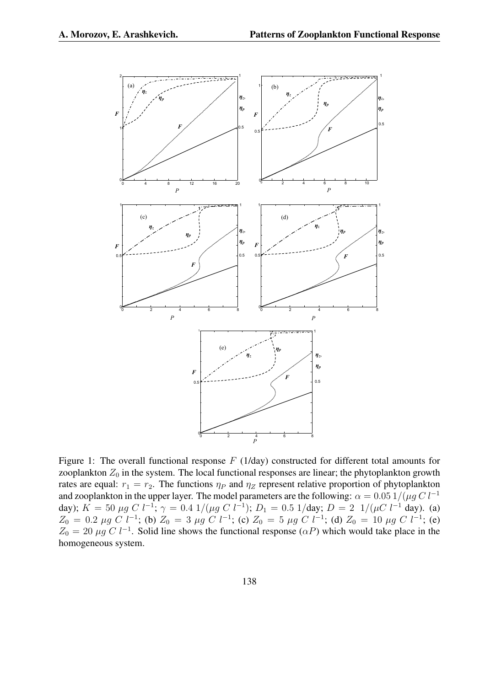

Figure 1: The overall functional response  $F(1/\text{day})$  constructed for different total amounts for zooplankton  $Z_0$  in the system. The local functional responses are linear; the phytoplankton growth rates are equal:  $r_1 = r_2$ . The functions  $\eta_P$  and  $\eta_Z$  represent relative proportion of phytoplankton and zooplankton in the upper layer. The model parameters are the following:  $\alpha = 0.05$  1/( $\mu$ g C l<sup>-1</sup> day);  $K = 50 \ \mu g \ C \ l^{-1}$ ;  $\gamma = 0.4 \ 1/(\mu g \ C \ l^{-1})$ ;  $D_1 = 0.5 \ 1/\text{day}$ ;  $D = 2 \ 1/(\mu C \ l^{-1} \text{ day})$ . (a)  $Z_0 = 0.2 \ \mu g \ C \ l^{-1}$ ; (b)  $Z_0 = 3 \ \mu g \ C \ l^{-1}$ ; (c)  $Z_0 = 5 \ \mu g \ C \ l^{-1}$ ; (d)  $Z_0 = 10 \ \mu g \ C \ l^{-1}$ ; (e)  $Z_0 = 20 \mu g C l^{-1}$ . Solid line shows the functional response ( $\alpha P$ ) which would take place in the homogeneous system.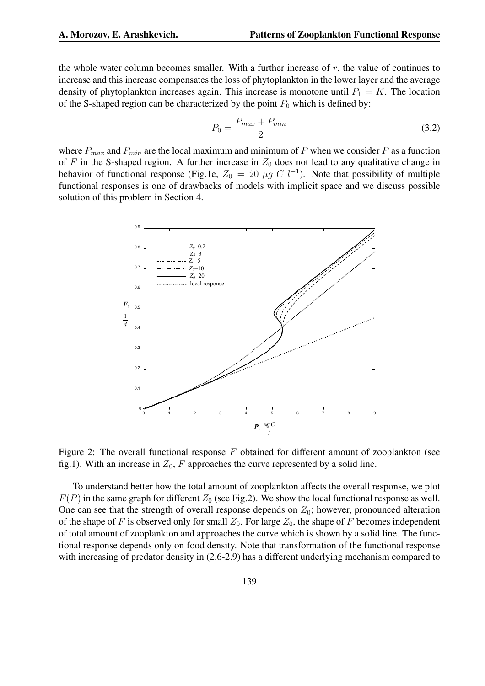the whole water column becomes smaller. With a further increase of  $r$ , the value of continues to increase and this increase compensates the loss of phytoplankton in the lower layer and the average density of phytoplankton increases again. This increase is monotone until  $P_1 = K$ . The location of the S-shaped region can be characterized by the point  $P_0$  which is defined by:

$$
P_0 = \frac{P_{max} + P_{min}}{2} \tag{3.2}
$$

where  $P_{max}$  and  $P_{min}$  are the local maximum and minimum of P when we consider P as a function of F in the S-shaped region. A further increase in  $Z_0$  does not lead to any qualitative change in behavior of functional response (Fig.1e,  $Z_0 = 20 \mu g C l^{-1}$ ). Note that possibility of multiple functional responses is one of drawbacks of models with implicit space and we discuss possible solution of this problem in Section 4.



Figure 2: The overall functional response  $F$  obtained for different amount of zooplankton (see fig.1). With an increase in  $Z_0$ , F approaches the curve represented by a solid line.

To understand better how the total amount of zooplankton affects the overall response, we plot  $F(P)$  in the same graph for different  $Z_0$  (see Fig.2). We show the local functional response as well. One can see that the strength of overall response depends on  $Z_0$ ; however, pronounced alteration of the shape of F is observed only for small  $Z_0$ . For large  $Z_0$ , the shape of F becomes independent of total amount of zooplankton and approaches the curve which is shown by a solid line. The functional response depends only on food density. Note that transformation of the functional response with increasing of predator density in  $(2.6-2.9)$  has a different underlying mechanism compared to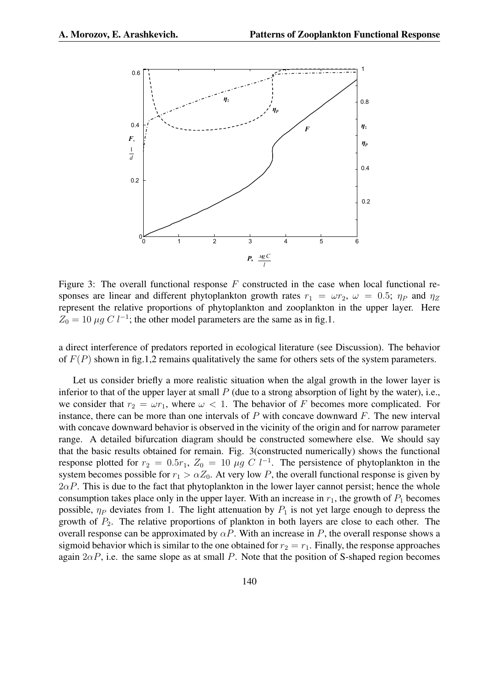

Figure 3: The overall functional response  $F$  constructed in the case when local functional responses are linear and different phytoplankton growth rates  $r_1 = \omega r_2$ ,  $\omega = 0.5$ ;  $\eta_P$  and  $\eta_Z$ represent the relative proportions of phytoplankton and zooplankton in the upper layer. Here  $Z_0 = 10 \mu g C l^{-1}$ ; the other model parameters are the same as in fig.1.

a direct interference of predators reported in ecological literature (see Discussion). The behavior of  $F(P)$  shown in fig.1,2 remains qualitatively the same for others sets of the system parameters.

Let us consider briefly a more realistic situation when the algal growth in the lower layer is inferior to that of the upper layer at small  $P$  (due to a strong absorption of light by the water), i.e., we consider that  $r_2 = \omega r_1$ , where  $\omega < 1$ . The behavior of F becomes more complicated. For instance, there can be more than one intervals of  $P$  with concave downward  $F$ . The new interval with concave downward behavior is observed in the vicinity of the origin and for narrow parameter range. A detailed bifurcation diagram should be constructed somewhere else. We should say that the basic results obtained for remain. Fig. 3(constructed numerically) shows the functional response plotted for  $r_2 = 0.5r_1$ ,  $Z_0 = 10 \mu g C l^{-1}$ . The persistence of phytoplankton in the system becomes possible for  $r_1 > \alpha Z_0$ . At very low P, the overall functional response is given by  $2\alpha P$ . This is due to the fact that phytoplankton in the lower layer cannot persist; hence the whole consumption takes place only in the upper layer. With an increase in  $r_1$ , the growth of  $P_1$  becomes possible,  $\eta_P$  deviates from 1. The light attenuation by  $P_1$  is not yet large enough to depress the growth of  $P_2$ . The relative proportions of plankton in both layers are close to each other. The overall response can be approximated by  $\alpha P$ . With an increase in P, the overall response shows a sigmoid behavior which is similar to the one obtained for  $r_2 = r_1$ . Finally, the response approaches again  $2\alpha P$ , i.e. the same slope as at small P. Note that the position of S-shaped region becomes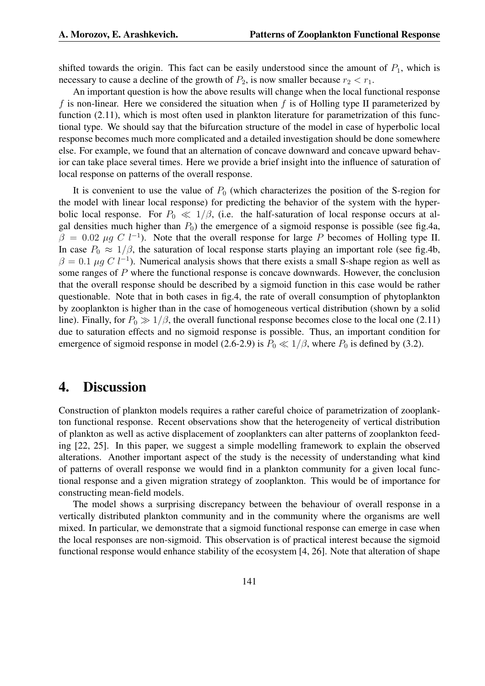shifted towards the origin. This fact can be easily understood since the amount of  $P_1$ , which is necessary to cause a decline of the growth of  $P_2$ , is now smaller because  $r_2 < r_1$ .

An important question is how the above results will change when the local functional response f is non-linear. Here we considered the situation when f is of Holling type II parameterized by function (2.11), which is most often used in plankton literature for parametrization of this functional type. We should say that the bifurcation structure of the model in case of hyperbolic local response becomes much more complicated and a detailed investigation should be done somewhere else. For example, we found that an alternation of concave downward and concave upward behavior can take place several times. Here we provide a brief insight into the influence of saturation of local response on patterns of the overall response.

It is convenient to use the value of  $P_0$  (which characterizes the position of the S-region for the model with linear local response) for predicting the behavior of the system with the hyperbolic local response. For  $P_0 \ll 1/\beta$ , (i.e. the half-saturation of local response occurs at algal densities much higher than  $P_0$ ) the emergence of a sigmoid response is possible (see fig.4a,  $\beta = 0.02 \mu g C l^{-1}$ ). Note that the overall response for large P becomes of Holling type II. In case  $P_0 \approx 1/\beta$ , the saturation of local response starts playing an important role (see fig.4b,  $\beta = 0.1 \mu g C l^{-1}$ ). Numerical analysis shows that there exists a small S-shape region as well as some ranges of P where the functional response is concave downwards. However, the conclusion that the overall response should be described by a sigmoid function in this case would be rather questionable. Note that in both cases in fig.4, the rate of overall consumption of phytoplankton by zooplankton is higher than in the case of homogeneous vertical distribution (shown by a solid line). Finally, for  $P_0 \gg 1/\beta$ , the overall functional response becomes close to the local one (2.11) due to saturation effects and no sigmoid response is possible. Thus, an important condition for emergence of sigmoid response in model (2.6-2.9) is  $P_0 \ll 1/\beta$ , where  $P_0$  is defined by (3.2).

#### 4. Discussion

Construction of plankton models requires a rather careful choice of parametrization of zooplankton functional response. Recent observations show that the heterogeneity of vertical distribution of plankton as well as active displacement of zooplankters can alter patterns of zooplankton feeding [22, 25]. In this paper, we suggest a simple modelling framework to explain the observed alterations. Another important aspect of the study is the necessity of understanding what kind of patterns of overall response we would find in a plankton community for a given local functional response and a given migration strategy of zooplankton. This would be of importance for constructing mean-field models.

The model shows a surprising discrepancy between the behaviour of overall response in a vertically distributed plankton community and in the community where the organisms are well mixed. In particular, we demonstrate that a sigmoid functional response can emerge in case when the local responses are non-sigmoid. This observation is of practical interest because the sigmoid functional response would enhance stability of the ecosystem [4, 26]. Note that alteration of shape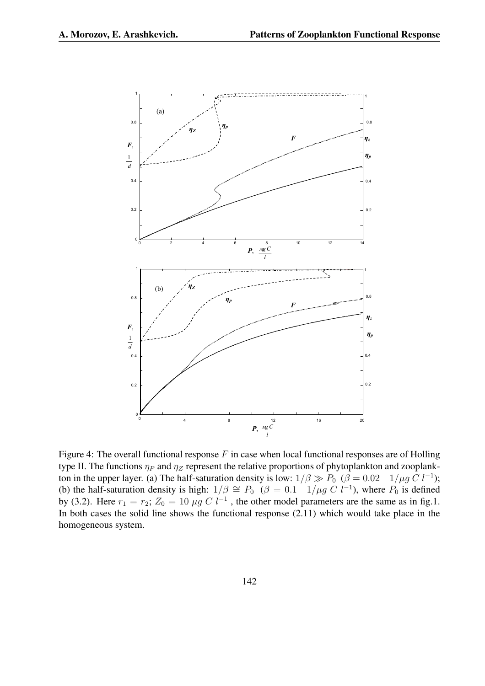

Figure 4: The overall functional response  $F$  in case when local functional responses are of Holling type II. The functions  $\eta_P$  and  $\eta_Z$  represent the relative proportions of phytoplankton and zooplankton in the upper layer. (a) The half-saturation density is low:  $1/\beta \gg P_0$  ( $\beta = 0.02$  1/ $\mu$ g C l<sup>-1</sup>); (b) the half-saturation density is high:  $1/\beta \cong P_0$  ( $\beta = 0.1 \pm 1/\mu g \, C \, l^{-1}$ ), where  $P_0$  is defined by (3.2). Here  $r_1 = r_2$ ;  $Z_0 = 10 \mu g C l^{-1}$ , the other model parameters are the same as in fig.1. In both cases the solid line shows the functional response (2.11) which would take place in the homogeneous system.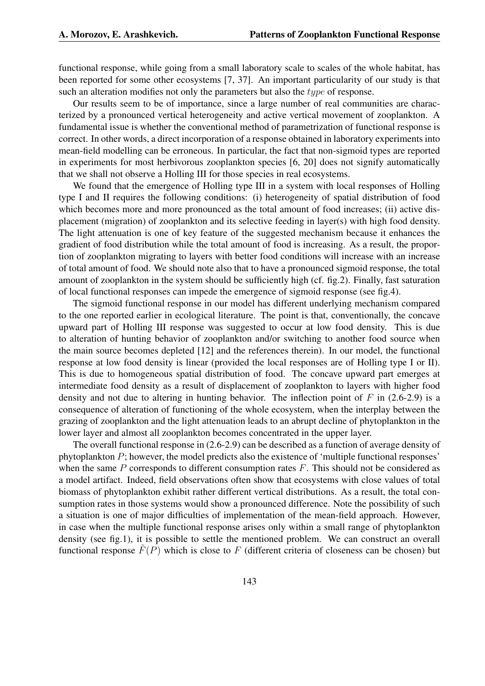functional response, while going from a small laboratory scale to scales of the whole habitat, has been reported for some other ecosystems [7, 37]. An important particularity of our study is that such an alteration modifies not only the parameters but also the *type* of response.

Our results seem to be of importance, since a large number of real communities are characterized by a pronounced vertical heterogeneity and active vertical movement of zooplankton. A fundamental issue is whether the conventional method of parametrization of functional response is correct. In other words, a direct incorporation of a response obtained in laboratory experiments into mean-field modelling can be erroneous. In particular, the fact that non-sigmoid types are reported in experiments for most herbivorous zooplankton species [6, 20] does not signify automatically that we shall not observe a Holling III for those species in real ecosystems.

We found that the emergence of Holling type III in a system with local responses of Holling type I and II requires the following conditions: (i) heterogeneity of spatial distribution of food which becomes more and more pronounced as the total amount of food increases; (ii) active displacement (migration) of zooplankton and its selective feeding in layer(s) with high food density. The light attenuation is one of key feature of the suggested mechanism because it enhances the gradient of food distribution while the total amount of food is increasing. As a result, the proportion of zooplankton migrating to layers with better food conditions will increase with an increase of total amount of food. We should note also that to have a pronounced sigmoid response, the total amount of zooplankton in the system should be sufficiently high (cf. fig.2). Finally, fast saturation of local functional responses can impede the emergence of sigmoid response (see fig.4).

The sigmoid functional response in our model has different underlying mechanism compared to the one reported earlier in ecological literature. The point is that, conventionally, the concave upward part of Holling III response was suggested to occur at low food density. This is due to alteration of hunting behavior of zooplankton and/or switching to another food source when the main source becomes depleted [12] and the references therein). In our model, the functional response at low food density is linear (provided the local responses are of Holling type I or II). This is due to homogeneous spatial distribution of food. The concave upward part emerges at intermediate food density as a result of displacement of zooplankton to layers with higher food density and not due to altering in hunting behavior. The inflection point of  $F$  in (2.6-2.9) is a consequence of alteration of functioning of the whole ecosystem, when the interplay between the grazing of zooplankton and the light attenuation leads to an abrupt decline of phytoplankton in the lower layer and almost all zooplankton becomes concentrated in the upper layer.

The overall functional response in (2.6-2.9) can be described as a function of average density of phytoplankton  $P$ ; however, the model predicts also the existence of 'multiple functional responses' when the same P corresponds to different consumption rates  $F$ . This should not be considered as a model artifact. Indeed, field observations often show that ecosystems with close values of total biomass of phytoplankton exhibit rather different vertical distributions. As a result, the total consumption rates in those systems would show a pronounced difference. Note the possibility of such a situation is one of major difficulties of implementation of the mean-field approach. However, in case when the multiple functional response arises only within a small range of phytoplankton density (see fig.1), it is possible to settle the mentioned problem. We can construct an overall functional response  $\tilde{F}(P)$  which is close to F (different criteria of closeness can be chosen) but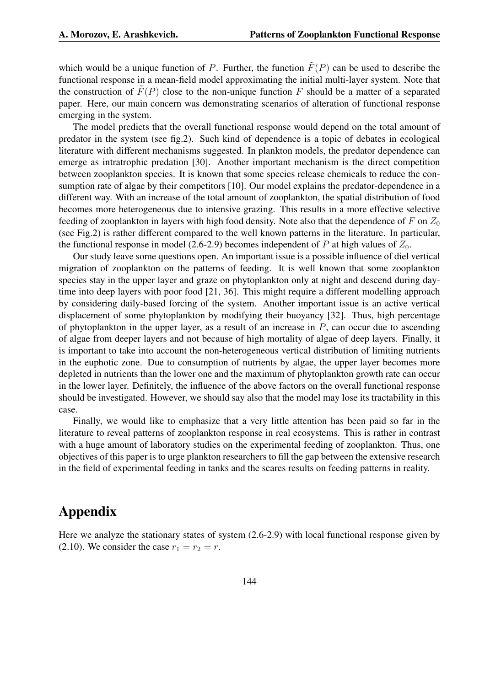which would be a unique function of P. Further, the function  $\tilde{F}(P)$  can be used to describe the functional response in a mean-field model approximating the initial multi-layer system. Note that the construction of  $F(P)$  close to the non-unique function F should be a matter of a separated paper. Here, our main concern was demonstrating scenarios of alteration of functional response emerging in the system.

The model predicts that the overall functional response would depend on the total amount of predator in the system (see fig.2). Such kind of dependence is a topic of debates in ecological literature with different mechanisms suggested. In plankton models, the predator dependence can emerge as intratrophic predation [30]. Another important mechanism is the direct competition between zooplankton species. It is known that some species release chemicals to reduce the consumption rate of algae by their competitors [10]. Our model explains the predator-dependence in a different way. With an increase of the total amount of zooplankton, the spatial distribution of food becomes more heterogeneous due to intensive grazing. This results in a more effective selective feeding of zooplankton in layers with high food density. Note also that the dependence of  $F$  on  $Z_0$ (see Fig.2) is rather different compared to the well known patterns in the literature. In particular, the functional response in model (2.6-2.9) becomes independent of P at high values of  $Z_0$ .

Our study leave some questions open. An important issue is a possible influence of diel vertical migration of zooplankton on the patterns of feeding. It is well known that some zooplankton species stay in the upper layer and graze on phytoplankton only at night and descend during daytime into deep layers with poor food [21, 36]. This might require a different modelling approach by considering daily-based forcing of the system. Another important issue is an active vertical displacement of some phytoplankton by modifying their buoyancy [32]. Thus, high percentage of phytoplankton in the upper layer, as a result of an increase in  $P$ , can occur due to ascending of algae from deeper layers and not because of high mortality of algae of deep layers. Finally, it is important to take into account the non-heterogeneous vertical distribution of limiting nutrients in the euphotic zone. Due to consumption of nutrients by algae, the upper layer becomes more depleted in nutrients than the lower one and the maximum of phytoplankton growth rate can occur in the lower layer. Definitely, the influence of the above factors on the overall functional response should be investigated. However, we should say also that the model may lose its tractability in this case.

Finally, we would like to emphasize that a very little attention has been paid so far in the literature to reveal patterns of zooplankton response in real ecosystems. This is rather in contrast with a huge amount of laboratory studies on the experimental feeding of zooplankton. Thus, one objectives of this paper is to urge plankton researchers to fill the gap between the extensive research in the field of experimental feeding in tanks and the scares results on feeding patterns in reality.

### Appendix

Here we analyze the stationary states of system (2.6-2.9) with local functional response given by (2.10). We consider the case  $r_1 = r_2 = r$ .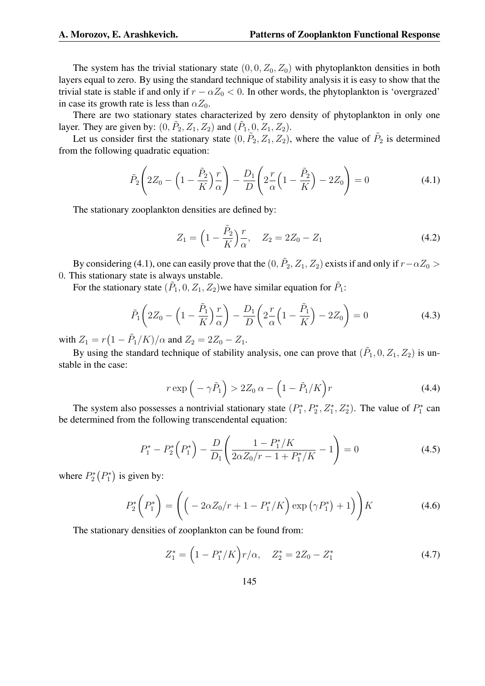The system has the trivial stationary state  $(0, 0, Z_0, Z_0)$  with phytoplankton densities in both layers equal to zero. By using the standard technique of stability analysis it is easy to show that the trivial state is stable if and only if  $r - \alpha Z_0 < 0$ . In other words, the phytoplankton is 'overgrazed' in case its growth rate is less than  $\alpha Z_0$ .

There are two stationary states characterized by zero density of phytoplankton in only one layer. They are given by:  $(0, \tilde{P}_2, Z_1, Z_2)$  and  $(\tilde{P}_1, 0, Z_1, Z_2)$ .

Let us consider first the stationary state  $(0, \tilde{P}_2, Z_1, Z_2)$ , where the value of  $\tilde{P}_2$  is determined from the following quadratic equation:

$$
\tilde{P}_2\left(2Z_0 - \left(1 - \frac{\tilde{P}_2}{K}\right)\frac{r}{\alpha}\right) - \frac{D_1}{D}\left(2\frac{r}{\alpha}\left(1 - \frac{\tilde{P}_2}{K}\right) - 2Z_0\right) = 0\tag{4.1}
$$

The stationary zooplankton densities are defined by:

$$
Z_1 = \left(1 - \frac{\tilde{P}_2}{K}\right) \frac{r}{\alpha}, \quad Z_2 = 2Z_0 - Z_1 \tag{4.2}
$$

By considering (4.1), one can easily prove that the  $(0, \tilde{P}_2, Z_1, Z_2)$  exists if and only if  $r - \alpha Z_0 >$ 0. This stationary state is always unstable.

For the stationary state  $(\tilde{P}_1, 0, Z_1, Z_2)$  we have similar equation for  $\tilde{P}_1$ :

$$
\tilde{P}_1\left(2Z_0 - \left(1 - \frac{\tilde{P}_1}{K}\right)\frac{r}{\alpha}\right) - \frac{D_1}{D}\left(2\frac{r}{\alpha}\left(1 - \frac{\tilde{P}_1}{K}\right) - 2Z_0\right) = 0\tag{4.3}
$$

with  $Z_1 = r$  $(1 - \tilde{P}_1/K)/\alpha$  and  $Z_2 = 2Z_0 - Z_1$ .

By using the standard technique of stability analysis, one can prove that  $(\tilde{P}_1, 0, Z_1, Z_2)$  is unstable in the case:

$$
r \exp\left(-\gamma \tilde{P}_1\right) > 2Z_0 \alpha - \left(1 - \tilde{P}_1/K\right)r \tag{4.4}
$$

The system also possesses a nontrivial stationary state  $(P_1^*, P_2^*, Z_1^*, Z_2^*)$ . The value of  $P_1^*$  can be determined from the following transcendental equation:

$$
P_1^* - P_2^*\left(P_1^*\right) - \frac{D}{D_1}\left(\frac{1 - P_1^* / K}{2\alpha Z_0 / r - 1 + P_1^* / K} - 1\right) = 0\tag{4.5}
$$

where  $P_2^*$ ¡  $P_1^*$ ¢ is given by:

$$
P_2^*\left(P_1^*\right) = \left(\left(-2\alpha Z_0/r + 1 - P_1^*/K\right) \exp\left(\gamma P_1^*\right) + 1\right)\Big)K\tag{4.6}
$$

The stationary densities of zooplankton can be found from:

$$
Z_1^* = \left(1 - P_1^*/K\right) r/\alpha, \quad Z_2^* = 2Z_0 - Z_1^*
$$
\n(4.7)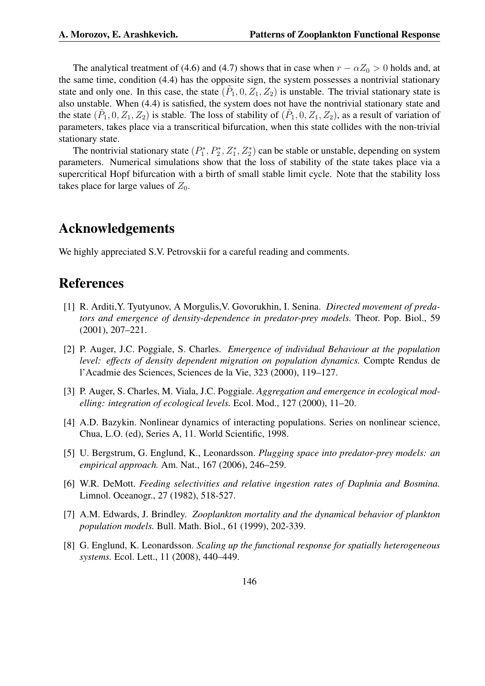The analytical treatment of (4.6) and (4.7) shows that in case when  $r - \alpha Z_0 > 0$  holds and, at the same time, condition (4.4) has the opposite sign, the system possesses a nontrivial stationary state and only one. In this case, the state  $(\tilde{P}_1, 0, Z_1, Z_2)$  is unstable. The trivial stationary state is also unstable. When (4.4) is satisfied, the system does not have the nontrivial stationary state and the state  $(\tilde{P}_1, 0, Z_1, Z_2)$  is stable. The loss of stability of  $(\tilde{P}_1, 0, Z_1, Z_2)$ , as a result of variation of parameters, takes place via a transcritical bifurcation, when this state collides with the non-trivial stationary state.

The nontrivial stationary state  $(P_1^*, P_2^*, Z_1^*, Z_2^*)$  can be stable or unstable, depending on system parameters. Numerical simulations show that the loss of stability of the state takes place via a supercritical Hopf bifurcation with a birth of small stable limit cycle. Note that the stability loss takes place for large values of  $Z_0$ .

# Acknowledgements

We highly appreciated S.V. Petrovskii for a careful reading and comments.

# References

- [1] R. Arditi,Y. Tyutyunov, A Morgulis,V. Govorukhin, I. Senina. *Directed movement of predators and emergence of density-dependence in predator-prey models.* Theor. Pop. Biol., 59 (2001), 207–221.
- [2] P. Auger, J.C. Poggiale, S. Charles. *Emergence of individual Behaviour at the population level: effects of density dependent migration on population dynamics.* Compte Rendus de l'Acadmie des Sciences, Sciences de la Vie, 323 (2000), 119–127.
- [3] P. Auger, S. Charles, M. Viala, J.C. Poggiale. *Aggregation and emergence in ecological modelling: integration of ecological levels.* Ecol. Mod., 127 (2000), 11–20.
- [4] A.D. Bazykin. Nonlinear dynamics of interacting populations. Series on nonlinear science, Chua, L.O. (ed), Series A, 11. World Scientific, 1998.
- [5] U. Bergstrum, G. Englund, K., Leonardsson. *Plugging space into predator-prey models: an empirical approach.* Am. Nat., 167 (2006), 246–259.
- [6] W.R. DeMott. *Feeding selectivities and relative ingestion rates of Daphnia and Bosmina.* Limnol. Oceanogr., 27 (1982), 518-527.
- [7] A.M. Edwards, J. Brindley. *Zooplankton mortality and the dynamical behavior of plankton population models.* Bull. Math. Biol., 61 (1999), 202-339.
- [8] G. Englund, K. Leonardsson. *Scaling up the functional response for spatially heterogeneous systems.* Ecol. Lett., 11 (2008), 440–449.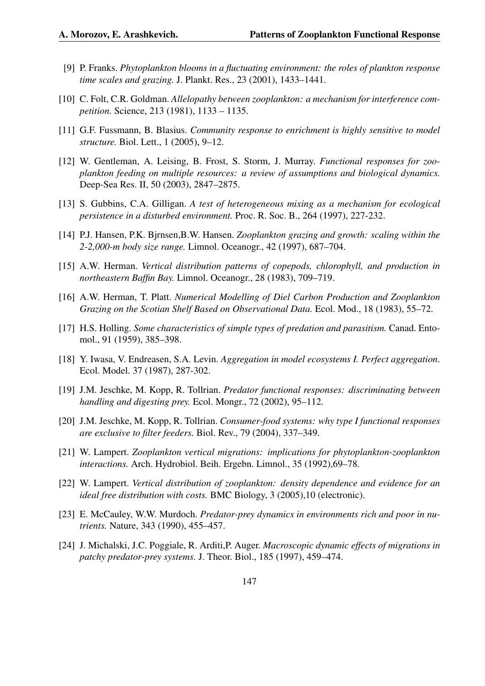- [9] P. Franks. *Phytoplankton blooms in a fluctuating environment: the roles of plankton response time scales and grazing.* J. Plankt. Res., 23 (2001), 1433–1441.
- [10] C. Folt, C.R. Goldman. *Allelopathy between zooplankton: a mechanism for interference competition.* Science, 213 (1981), 1133 – 1135.
- [11] G.F. Fussmann, B. Blasius. *Community response to enrichment is highly sensitive to model structure.* Biol. Lett., 1 (2005), 9–12.
- [12] W. Gentleman, A. Leising, B. Frost, S. Storm, J. Murray. *Functional responses for zooplankton feeding on multiple resources: a review of assumptions and biological dynamics.* Deep-Sea Res. II, 50 (2003), 2847–2875.
- [13] S. Gubbins, C.A. Gilligan. *A test of heterogeneous mixing as a mechanism for ecological persistence in a disturbed environment.* Proc. R. Soc. B., 264 (1997), 227-232.
- [14] P.J. Hansen, P.K. Bjrnsen,B.W. Hansen. *Zooplankton grazing and growth: scaling within the 2-2,000-m body size range.* Limnol. Oceanogr., 42 (1997), 687–704.
- [15] A.W. Herman. *Vertical distribution patterns of copepods, chlorophyll, and production in northeastern Baffin Bay.* Limnol. Oceanogr., 28 (1983), 709–719.
- [16] A.W. Herman, T. Platt. *Numerical Modelling of Diel Carbon Production and Zooplankton Grazing on the Scotian Shelf Based on Observational Data.* Ecol. Mod., 18 (1983), 55–72.
- [17] H.S. Holling. *Some characteristics of simple types of predation and parasitism.* Canad. Entomol., 91 (1959), 385–398.
- [18] Y. Iwasa, V. Endreasen, S.A. Levin. *Aggregation in model ecosystems I. Perfect aggregation*. Ecol. Model. 37 (1987), 287-302.
- [19] J.M. Jeschke, M. Kopp, R. Tollrian. *Predator functional responses: discriminating between handling and digesting prey.* Ecol. Mongr., 72 (2002), 95–112.
- [20] J.M. Jeschke, M. Kopp, R. Tollrian. *Consumer-food systems: why type I functional responses are exclusive to filter feeders.* Biol. Rev., 79 (2004), 337–349.
- [21] W. Lampert. *Zooplankton vertical migrations: implications for phytoplankton-zooplankton interactions.* Arch. Hydrobiol. Beih. Ergebn. Limnol., 35 (1992),69–78.
- [22] W. Lampert. *Vertical distribution of zooplankton: density dependence and evidence for an ideal free distribution with costs.* BMC Biology, 3 (2005),10 (electronic).
- [23] E. McCauley, W.W. Murdoch. *Predator-prey dynamics in environments rich and poor in nutrients.* Nature, 343 (1990), 455–457.
- [24] J. Michalski, J.C. Poggiale, R. Arditi,P. Auger. *Macroscopic dynamic effects of migrations in patchy predator-prey systems.* J. Theor. Biol., 185 (1997), 459–474.